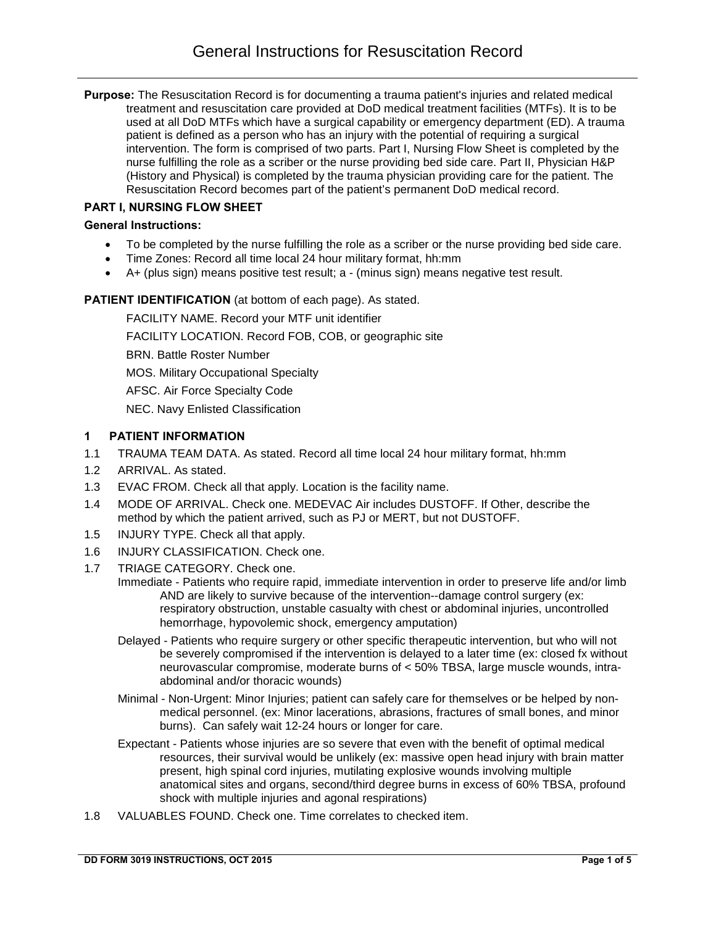**Purpose:** The Resuscitation Record is for documenting a trauma patient's injuries and related medical treatment and resuscitation care provided at DoD medical treatment facilities (MTFs). It is to be used at all DoD MTFs which have a surgical capability or emergency department (ED). A trauma patient is defined as a person who has an injury with the potential of requiring a surgical intervention. The form is comprised of two parts. Part I, Nursing Flow Sheet is completed by the nurse fulfilling the role as a scriber or the nurse providing bed side care. Part II, Physician H&P (History and Physical) is completed by the trauma physician providing care for the patient. The Resuscitation Record becomes part of the patient's permanent DoD medical record.

## **PART I, NURSING FLOW SHEET**

#### **General Instructions:**

- To be completed by the nurse fulfilling the role as a scriber or the nurse providing bed side care.
- Time Zones: Record all time local 24 hour military format, hh:mm
- A+ (plus sign) means positive test result; a (minus sign) means negative test result.

#### **PATIENT IDENTIFICATION** (at bottom of each page). As stated.

FACILITY NAME. Record your MTF unit identifier FACILITY LOCATION. Record FOB, COB, or geographic site BRN. Battle Roster Number MOS. Military Occupational Specialty AFSC. Air Force Specialty Code NEC. Navy Enlisted Classification

### **1 PATIENT INFORMATION**

- 1.1 TRAUMA TEAM DATA. As stated. Record all time local 24 hour military format, hh:mm
- 1.2 ARRIVAL. As stated.
- 1.3 EVAC FROM. Check all that apply. Location is the facility name.
- 1.4 MODE OF ARRIVAL. Check one. MEDEVAC Air includes DUSTOFF. If Other, describe the method by which the patient arrived, such as PJ or MERT, but not DUSTOFF.
- 1.5 INJURY TYPE. Check all that apply.
- 1.6 INJURY CLASSIFICATION. Check one.
- 1.7 TRIAGE CATEGORY. Check one.
	- Immediate Patients who require rapid, immediate intervention in order to preserve life and/or limb AND are likely to survive because of the intervention--damage control surgery (ex: respiratory obstruction, unstable casualty with chest or abdominal injuries, uncontrolled hemorrhage, hypovolemic shock, emergency amputation)
		- Delayed Patients who require surgery or other specific therapeutic intervention, but who will not be severely compromised if the intervention is delayed to a later time (ex: closed fx without neurovascular compromise, moderate burns of < 50% TBSA, large muscle wounds, intraabdominal and/or thoracic wounds)
		- Minimal Non-Urgent: Minor Injuries; patient can safely care for themselves or be helped by nonmedical personnel. (ex: Minor lacerations, abrasions, fractures of small bones, and minor burns). Can safely wait 12-24 hours or longer for care.
		- Expectant Patients whose injuries are so severe that even with the benefit of optimal medical resources, their survival would be unlikely (ex: massive open head injury with brain matter present, high spinal cord injuries, mutilating explosive wounds involving multiple anatomical sites and organs, second/third degree burns in excess of 60% TBSA, profound shock with multiple injuries and agonal respirations)
- 1.8 VALUABLES FOUND. Check one. Time correlates to checked item.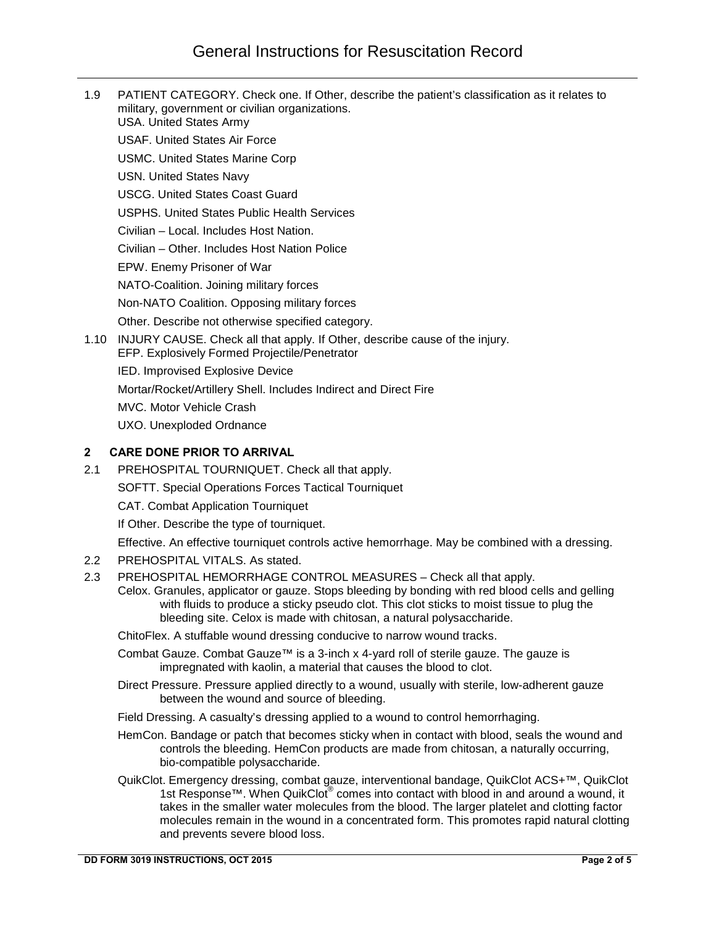1.9 PATIENT CATEGORY. Check one. If Other, describe the patient's classification as it relates to military, government or civilian organizations. USA. United States Army USAF. United States Air Force USMC. United States Marine Corp USN. United States Navy USCG. United States Coast Guard USPHS. United States Public Health Services Civilian – Local. Includes Host Nation. Civilian – Other. Includes Host Nation Police EPW. Enemy Prisoner of War NATO-Coalition. Joining military forces Non-NATO Coalition. Opposing military forces Other. Describe not otherwise specified category. 1.10 INJURY CAUSE. Check all that apply. If Other, describe cause of the injury. EFP. Explosively Formed Projectile/Penetrator IED. Improvised Explosive Device Mortar/Rocket/Artillery Shell. Includes Indirect and Direct Fire MVC. Motor Vehicle Crash UXO. Unexploded Ordnance

## **2 CARE DONE PRIOR TO ARRIVAL**

2.1 PREHOSPITAL TOURNIQUET. Check all that apply.

SOFTT. Special Operations Forces Tactical Tourniquet

CAT. Combat Application Tourniquet

If Other. Describe the type of tourniquet.

Effective. An effective tourniquet controls active hemorrhage. May be combined with a dressing.

- 2.2 PREHOSPITAL VITALS. As stated.
- 2.3 PREHOSPITAL HEMORRHAGE CONTROL MEASURES Check all that apply.

Celox. Granules, applicator or gauze. Stops bleeding by bonding with red blood cells and gelling with fluids to produce a sticky pseudo clot. This clot sticks to moist tissue to plug the bleeding site. Celox is made with chitosan, a natural polysaccharide.

ChitoFlex. A stuffable wound dressing conducive to narrow wound tracks.

Combat Gauze. Combat Gauze™ is a 3-inch x 4-yard roll of sterile gauze. The gauze is impregnated with kaolin, a material that causes the blood to clot.

Direct Pressure. Pressure applied directly to a wound, usually with sterile, low-adherent gauze between the wound and source of bleeding.

Field Dressing. A casualty's dressing applied to a wound to control hemorrhaging.

- HemCon. Bandage or patch that becomes sticky when in contact with blood, seals the wound and controls the bleeding. HemCon products are made from chitosan, a naturally occurring, bio-compatible polysaccharide.
- QuikClot. Emergency dressing, combat gauze, interventional bandage, QuikClot ACS+™, QuikClot 1st Response™. When QuikClot<sup>®</sup> comes into contact with blood in and around a wound, it takes in the smaller water molecules from the blood. The larger platelet and clotting factor molecules remain in the wound in a concentrated form. This promotes rapid natural clotting and prevents severe blood loss.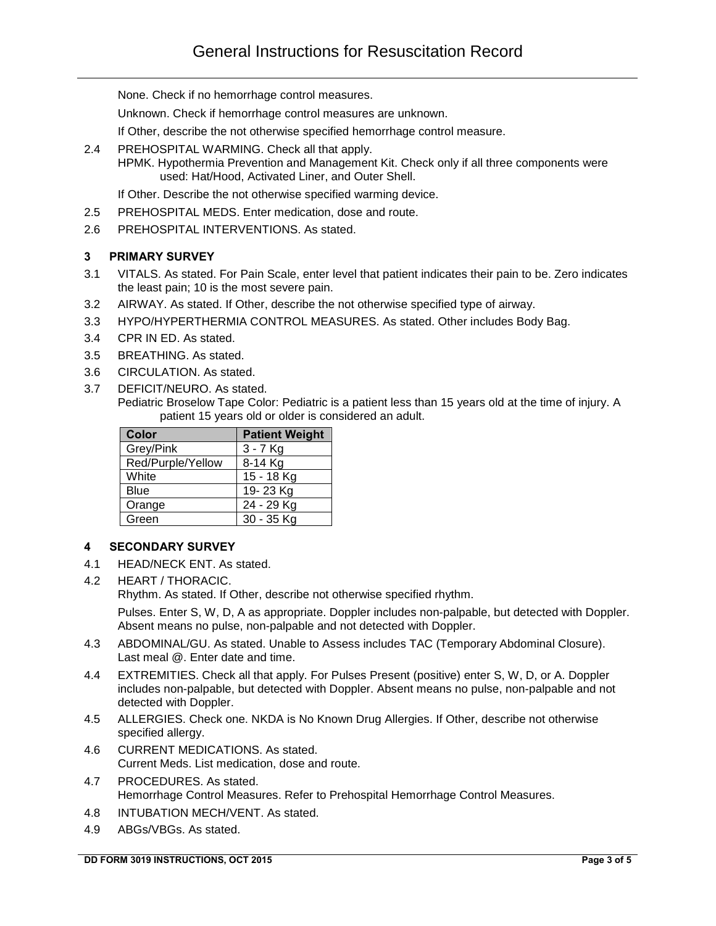None. Check if no hemorrhage control measures.

Unknown. Check if hemorrhage control measures are unknown.

If Other, describe the not otherwise specified hemorrhage control measure.

2.4 PREHOSPITAL WARMING. Check all that apply.

HPMK. Hypothermia Prevention and Management Kit. Check only if all three components were used: Hat/Hood, Activated Liner, and Outer Shell.

If Other. Describe the not otherwise specified warming device.

- 2.5 PREHOSPITAL MEDS. Enter medication, dose and route.
- 2.6 PREHOSPITAL INTERVENTIONS. As stated.

### **3 PRIMARY SURVEY**

- 3.1 VITALS. As stated. For Pain Scale, enter level that patient indicates their pain to be. Zero indicates the least pain; 10 is the most severe pain.
- 3.2 AIRWAY. As stated. If Other, describe the not otherwise specified type of airway.
- 3.3 HYPO/HYPERTHERMIA CONTROL MEASURES. As stated. Other includes Body Bag.
- 3.4 CPR IN ED. As stated.
- 3.5 BREATHING. As stated.
- 3.6 CIRCULATION. As stated.
- 3.7 DEFICIT/NEURO. As stated.
	- Pediatric Broselow Tape Color: Pediatric is a patient less than 15 years old at the time of injury. A patient 15 years old or older is considered an adult.

| <b>Color</b>      | <b>Patient Weight</b> |
|-------------------|-----------------------|
| Grey/Pink         | $3 - 7$ Kg            |
| Red/Purple/Yellow | 8-14 Kg               |
| White             | 15 - 18 Kg            |
| Blue              | 19-23 Kg              |
| Orange            | 24 - 29 Kg            |
| Green             | 30 - 35 Kg            |

### **4 SECONDARY SURVEY**

- 4.1 HEAD/NECK ENT. As stated.
- 4.2 HEART / THORACIC.

Rhythm. As stated. If Other, describe not otherwise specified rhythm.

Pulses. Enter S, W, D, A as appropriate. Doppler includes non-palpable, but detected with Doppler. Absent means no pulse, non-palpable and not detected with Doppler.

- 4.3 ABDOMINAL/GU. As stated. Unable to Assess includes TAC (Temporary Abdominal Closure). Last meal @. Enter date and time.
- 4.4 EXTREMITIES. Check all that apply. For Pulses Present (positive) enter S, W, D, or A. Doppler includes non-palpable, but detected with Doppler. Absent means no pulse, non-palpable and not detected with Doppler.
- 4.5 ALLERGIES. Check one. NKDA is No Known Drug Allergies. If Other, describe not otherwise specified allergy.
- 4.6 CURRENT MEDICATIONS. As stated. Current Meds. List medication, dose and route.
- 4.7 PROCEDURES. As stated. Hemorrhage Control Measures. Refer to Prehospital Hemorrhage Control Measures.
- 4.8 INTUBATION MECH/VENT. As stated.
- 4.9 ABGs/VBGs. As stated.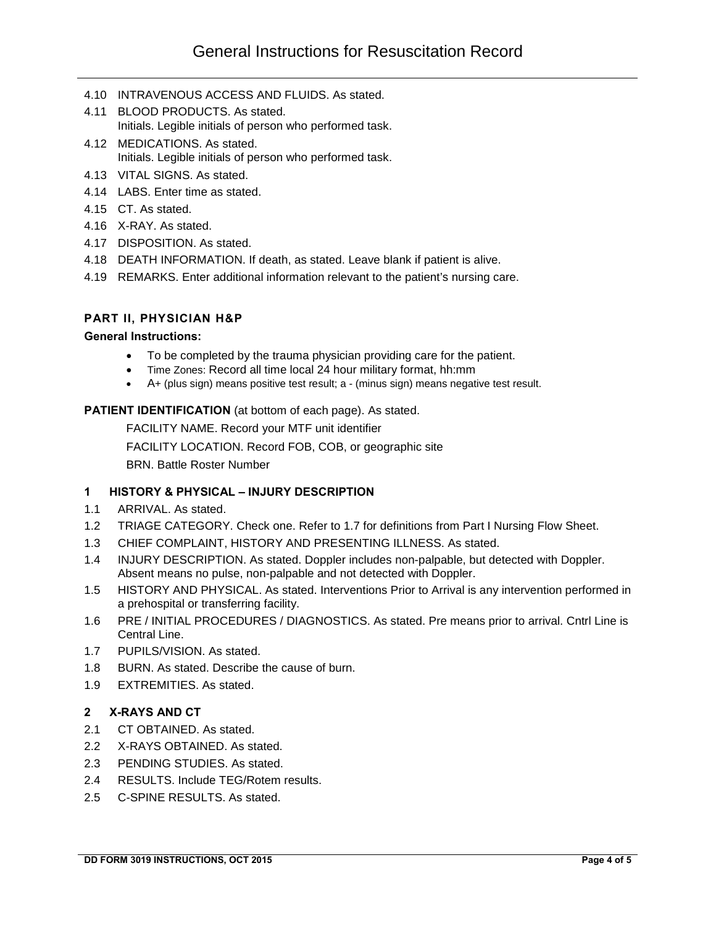- 4.10 INTRAVENOUS ACCESS AND FLUIDS. As stated.
- 4.11 BLOOD PRODUCTS. As stated. Initials. Legible initials of person who performed task.
- 4.12 MEDICATIONS. As stated. Initials. Legible initials of person who performed task.
- 4.13 VITAL SIGNS. As stated.
- 4.14 LABS. Enter time as stated.
- 4.15 CT. As stated.
- 4.16 X-RAY. As stated.
- 4.17 DISPOSITION. As stated.
- 4.18 DEATH INFORMATION. If death, as stated. Leave blank if patient is alive.
- 4.19 REMARKS. Enter additional information relevant to the patient's nursing care.

## **PART II, PHYSICIAN H&P**

#### **General Instructions:**

- To be completed by the trauma physician providing care for the patient.
- Time Zones: Record all time local 24 hour military format, hh:mm
- A+ (plus sign) means positive test result; a (minus sign) means negative test result.

### **PATIENT IDENTIFICATION** (at bottom of each page). As stated.

FACILITY NAME. Record your MTF unit identifier FACILITY LOCATION. Record FOB, COB, or geographic site BRN. Battle Roster Number

# **1 HISTORY & PHYSICAL – INJURY DESCRIPTION**

- 1.1 ARRIVAL. As stated.
- 1.2 TRIAGE CATEGORY. Check one. Refer to 1.7 for definitions from Part I Nursing Flow Sheet.
- 1.3 CHIEF COMPLAINT, HISTORY AND PRESENTING ILLNESS. As stated.
- 1.4 INJURY DESCRIPTION. As stated. Doppler includes non-palpable, but detected with Doppler. Absent means no pulse, non-palpable and not detected with Doppler.
- 1.5 HISTORY AND PHYSICAL. As stated. Interventions Prior to Arrival is any intervention performed in a prehospital or transferring facility.
- 1.6 PRE / INITIAL PROCEDURES / DIAGNOSTICS. As stated. Pre means prior to arrival. Cntrl Line is Central Line.
- 1.7 PUPILS/VISION. As stated.
- 1.8 BURN. As stated. Describe the cause of burn.
- 1.9 EXTREMITIES. As stated.

# **2 X-RAYS AND CT**

- 2.1 CT OBTAINED. As stated.
- 2.2 X-RAYS OBTAINED. As stated.
- 2.3 PENDING STUDIES. As stated.
- 2.4 RESULTS. Include TEG/Rotem results.
- 2.5 C-SPINE RESULTS. As stated.